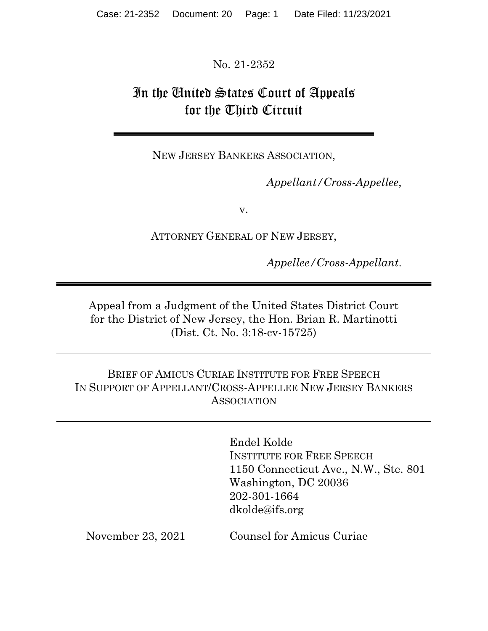No. 21-2352

# In the United States Court of Appeals for the Third Circuit

NEW JERSEY BANKERS ASSOCIATION,

Appellant/Cross-Appellee,

v.

ATTORNEY GENERAL OF NEW JERSEY,

Appellee/Cross-Appellant.

Appeal from a Judgment of the United States District Court for the District of New Jersey, the Hon. Brian R. Martinotti (Dist. Ct. No. 3:18-cv-15725)

BRIEF OF AMICUS CURIAE INSTITUTE FOR FREE SPEECH IN SUPPORT OF APPELLANT/CROSS-APPELLEE NEW JERSEY BANKERS ASSOCIATION

> Endel Kolde INSTITUTE FOR FREE SPEECH 1150 Connecticut Ave., N.W., Ste. 801 Washington, DC 20036 202-301-1664 dkolde@ifs.org

November 23, 2021 Counsel for Amicus Curiae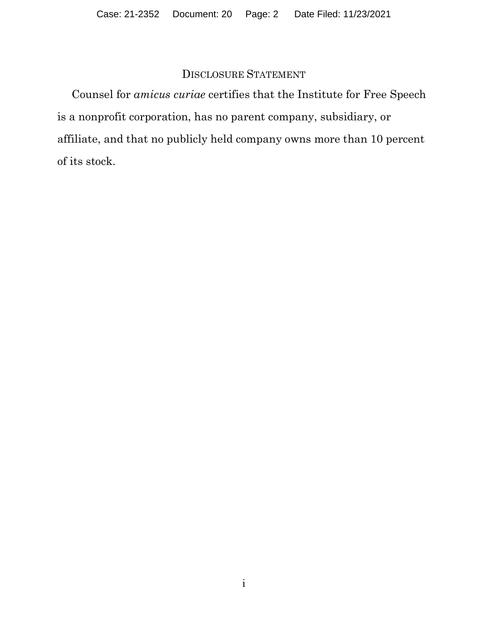### DISCLOSURE STATEMENT

Counsel for amicus curiae certifies that the Institute for Free Speech is a nonprofit corporation, has no parent company, subsidiary, or affiliate, and that no publicly held company owns more than 10 percent of its stock.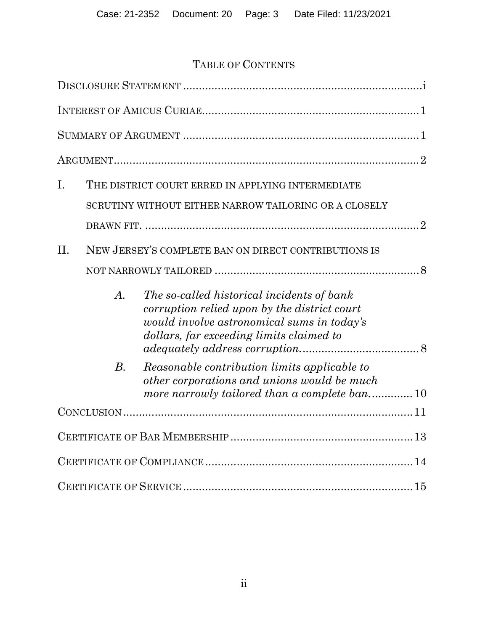# TABLE OF CONTENTS

| I.      |                              | THE DISTRICT COURT ERRED IN APPLYING INTERMEDIATE                                                                                                                                    |
|---------|------------------------------|--------------------------------------------------------------------------------------------------------------------------------------------------------------------------------------|
|         |                              | SCRUTINY WITHOUT EITHER NARROW TAILORING OR A CLOSELY                                                                                                                                |
|         |                              |                                                                                                                                                                                      |
| $\Pi$ . |                              | NEW JERSEY'S COMPLETE BAN ON DIRECT CONTRIBUTIONS IS                                                                                                                                 |
|         |                              |                                                                                                                                                                                      |
|         | $\boldsymbol{\mathcal{A}}$ . | The so-called historical incidents of bank<br>corruption relied upon by the district court<br>would involve astronomical sums in today's<br>dollars, far exceeding limits claimed to |
|         | $B$ .                        | Reasonable contribution limits applicable to<br>other corporations and unions would be much<br>more narrowly tailored than a complete ban10                                          |
|         |                              |                                                                                                                                                                                      |
|         |                              |                                                                                                                                                                                      |
|         |                              |                                                                                                                                                                                      |
|         |                              |                                                                                                                                                                                      |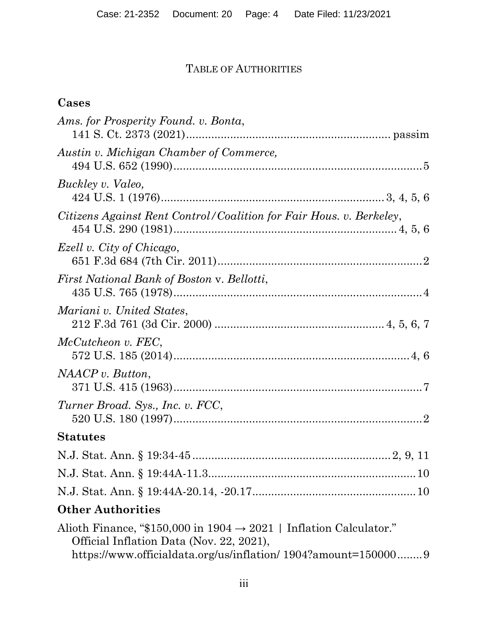# TABLE OF AUTHORITIES

# Cases

| Ams. for Prosperity Found. v. Bonta,                                                                                       |
|----------------------------------------------------------------------------------------------------------------------------|
| Austin v. Michigan Chamber of Commerce,                                                                                    |
|                                                                                                                            |
| Buckley v. Valeo,                                                                                                          |
| Citizens Against Rent Control/Coalition for Fair Hous. v. Berkeley,                                                        |
| Ezell v. City of Chicago,                                                                                                  |
| First National Bank of Boston v. Bellotti,                                                                                 |
| Mariani v. United States,                                                                                                  |
| McCutcheon v. FEC,                                                                                                         |
| NAACP v. Button,                                                                                                           |
| Turner Broad. Sys., Inc. v. FCC,                                                                                           |
| <b>Statutes</b>                                                                                                            |
|                                                                                                                            |
|                                                                                                                            |
|                                                                                                                            |
| <b>Other Authorities</b>                                                                                                   |
| Alioth Finance, "\$150,000 in $1904 \rightarrow 2021$   Inflation Calculator."<br>Official Inflation Data (Nov. 22, 2021), |

https://www.officialdata.org/us/inflation/ 1904?amount=150000 ........ 9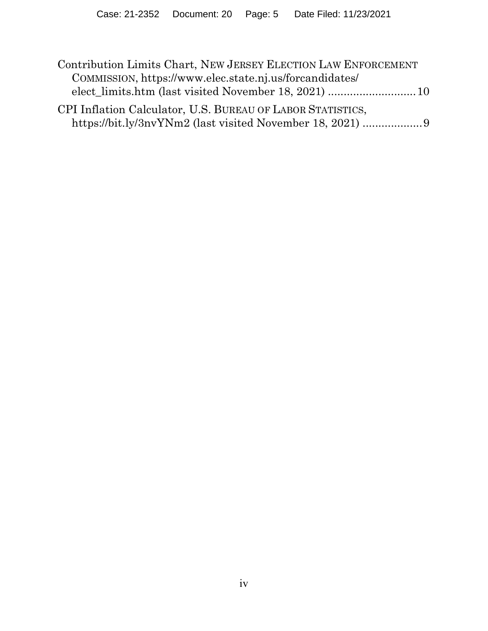| Contribution Limits Chart, NEW JERSEY ELECTION LAW ENFORCEMENT |  |  |
|----------------------------------------------------------------|--|--|
| COMMISSION, https://www.elec.state.nj.us/forcandidates/        |  |  |
|                                                                |  |  |
| CPI Inflation Calculator, U.S. BUREAU OF LABOR STATISTICS,     |  |  |
| https://bit.ly/3nvYNm2 (last visited November 18, 2021) 9      |  |  |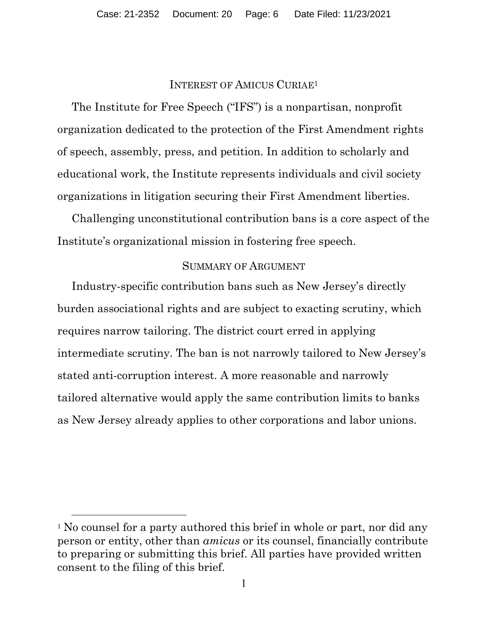#### INTEREST OF AMICUS CURIAE<sup>1</sup>

 The Institute for Free Speech ("IFS") is a nonpartisan, nonprofit organization dedicated to the protection of the First Amendment rights of speech, assembly, press, and petition. In addition to scholarly and educational work, the Institute represents individuals and civil society organizations in litigation securing their First Amendment liberties.

 Challenging unconstitutional contribution bans is a core aspect of the Institute's organizational mission in fostering free speech.

#### SUMMARY OF ARGUMENT

Industry-specific contribution bans such as New Jersey's directly burden associational rights and are subject to exacting scrutiny, which requires narrow tailoring. The district court erred in applying intermediate scrutiny. The ban is not narrowly tailored to New Jersey's stated anti-corruption interest. A more reasonable and narrowly tailored alternative would apply the same contribution limits to banks as New Jersey already applies to other corporations and labor unions.

<sup>&</sup>lt;sup>1</sup> No counsel for a party authored this brief in whole or part, nor did any person or entity, other than amicus or its counsel, financially contribute to preparing or submitting this brief. All parties have provided written consent to the filing of this brief.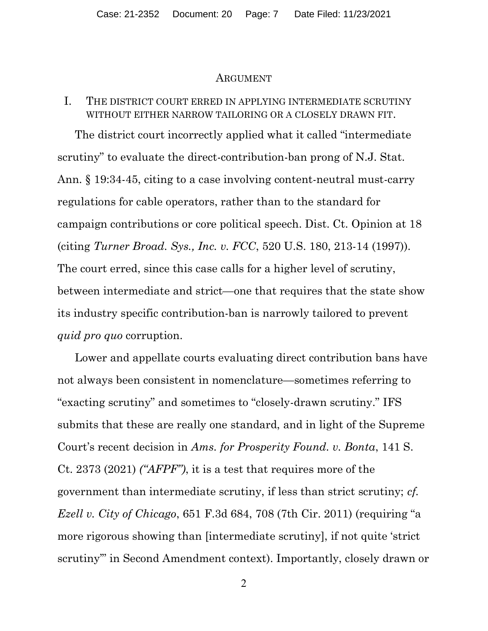#### ARGUMENT

### I. THE DISTRICT COURT ERRED IN APPLYING INTERMEDIATE SCRUTINY WITHOUT EITHER NARROW TAILORING OR A CLOSELY DRAWN FIT.

 The district court incorrectly applied what it called "intermediate scrutiny" to evaluate the direct-contribution-ban prong of N.J. Stat. Ann. § 19:34-45, citing to a case involving content-neutral must-carry regulations for cable operators, rather than to the standard for campaign contributions or core political speech. Dist. Ct. Opinion at 18 (citing Turner Broad. Sys., Inc. v. FCC, 520 U.S. 180, 213-14 (1997)). The court erred, since this case calls for a higher level of scrutiny, between intermediate and strict—one that requires that the state show its industry specific contribution-ban is narrowly tailored to prevent quid pro quo corruption.

 Lower and appellate courts evaluating direct contribution bans have not always been consistent in nomenclature—sometimes referring to "exacting scrutiny" and sometimes to "closely-drawn scrutiny." IFS submits that these are really one standard, and in light of the Supreme Court's recent decision in Ams. for Prosperity Found. v. Bonta, 141 S. Ct. 2373 (2021) ("AFPF"), it is a test that requires more of the government than intermediate scrutiny, if less than strict scrutiny; cf. Ezell v. City of Chicago, 651 F.3d 684, 708 (7th Cir. 2011) (requiring "a more rigorous showing than [intermediate scrutiny], if not quite 'strict scrutiny'" in Second Amendment context). Importantly, closely drawn or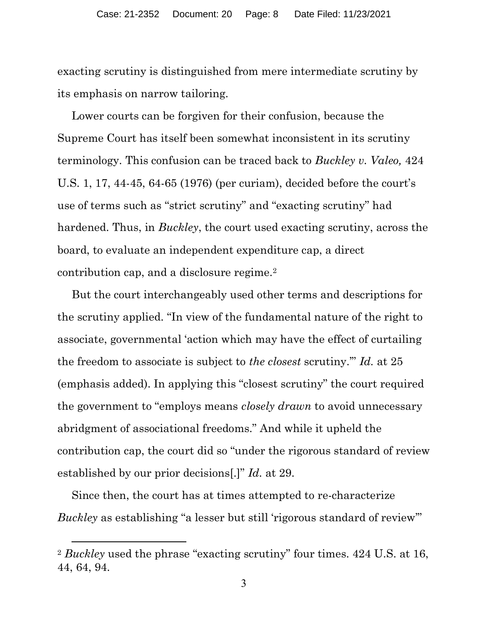exacting scrutiny is distinguished from mere intermediate scrutiny by its emphasis on narrow tailoring.

Lower courts can be forgiven for their confusion, because the Supreme Court has itself been somewhat inconsistent in its scrutiny terminology. This confusion can be traced back to Buckley v. Valeo, 424 U.S. 1, 17, 44-45, 64-65 (1976) (per curiam), decided before the court's use of terms such as "strict scrutiny" and "exacting scrutiny" had hardened. Thus, in *Buckley*, the court used exacting scrutiny, across the board, to evaluate an independent expenditure cap, a direct contribution cap, and a disclosure regime.<sup>2</sup>

But the court interchangeably used other terms and descriptions for the scrutiny applied. "In view of the fundamental nature of the right to associate, governmental 'action which may have the effect of curtailing the freedom to associate is subject to the closest scrutiny.'" Id. at 25 (emphasis added). In applying this "closest scrutiny" the court required the government to "employs means *closely drawn* to avoid unnecessary abridgment of associational freedoms." And while it upheld the contribution cap, the court did so "under the rigorous standard of review established by our prior decisions[.]" Id. at 29.

Since then, the court has at times attempted to re-characterize Buckley as establishing "a lesser but still 'rigorous standard of review"

<sup>&</sup>lt;sup>2</sup> Buckley used the phrase "exacting scrutiny" four times. 424 U.S. at 16, 44, 64, 94.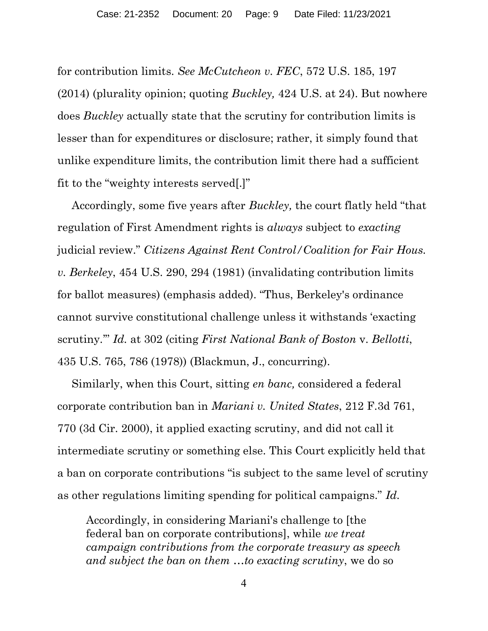for contribution limits. See McCutcheon v. FEC, 572 U.S. 185, 197 (2014) (plurality opinion; quoting Buckley, 424 U.S. at 24). But nowhere does Buckley actually state that the scrutiny for contribution limits is lesser than for expenditures or disclosure; rather, it simply found that unlike expenditure limits, the contribution limit there had a sufficient fit to the "weighty interests served[.]"

Accordingly, some five years after Buckley, the court flatly held "that regulation of First Amendment rights is always subject to exacting judicial review." Citizens Against Rent Control/Coalition for Fair Hous. v. Berkeley, 454 U.S. 290, 294 (1981) (invalidating contribution limits for ballot measures) (emphasis added). "Thus, Berkeley's ordinance cannot survive constitutional challenge unless it withstands 'exacting scrutiny.'" Id. at 302 (citing First National Bank of Boston v. Bellotti, 435 U.S. 765, 786 (1978)) (Blackmun, J., concurring).

Similarly, when this Court, sitting en banc, considered a federal corporate contribution ban in Mariani v. United States, 212 F.3d 761, 770 (3d Cir. 2000), it applied exacting scrutiny, and did not call it intermediate scrutiny or something else. This Court explicitly held that a ban on corporate contributions "is subject to the same level of scrutiny as other regulations limiting spending for political campaigns." Id.

Accordingly, in considering Mariani's challenge to [the federal ban on corporate contributions], while we treat campaign contributions from the corporate treasury as speech and subject the ban on them …to exacting scrutiny, we do so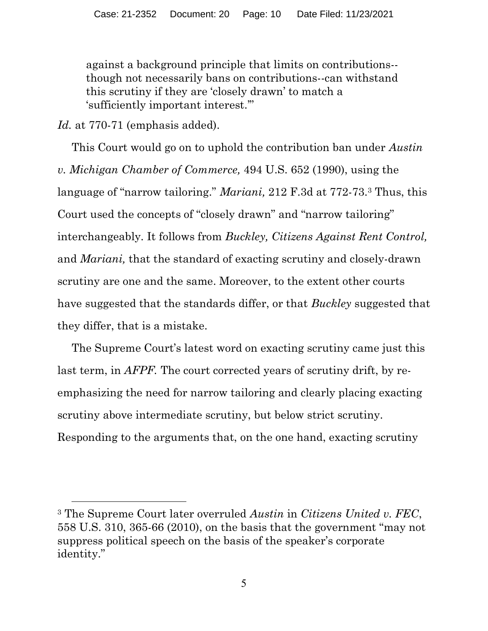against a background principle that limits on contributions- though not necessarily bans on contributions--can withstand this scrutiny if they are 'closely drawn' to match a 'sufficiently important interest.'"

Id. at 770-71 (emphasis added).

This Court would go on to uphold the contribution ban under *Austin* v. Michigan Chamber of Commerce, 494 U.S. 652 (1990), using the language of "narrow tailoring." Mariani, 212 F.3d at 772-73.3 Thus, this Court used the concepts of "closely drawn" and "narrow tailoring" interchangeably. It follows from Buckley, Citizens Against Rent Control, and Mariani, that the standard of exacting scrutiny and closely-drawn scrutiny are one and the same. Moreover, to the extent other courts have suggested that the standards differ, or that Buckley suggested that they differ, that is a mistake.

The Supreme Court's latest word on exacting scrutiny came just this last term, in AFPF. The court corrected years of scrutiny drift, by reemphasizing the need for narrow tailoring and clearly placing exacting scrutiny above intermediate scrutiny, but below strict scrutiny. Responding to the arguments that, on the one hand, exacting scrutiny

<sup>&</sup>lt;sup>3</sup> The Supreme Court later overruled *Austin* in *Citizens United v. FEC*, 558 U.S. 310, 365-66 (2010), on the basis that the government "may not suppress political speech on the basis of the speaker's corporate identity."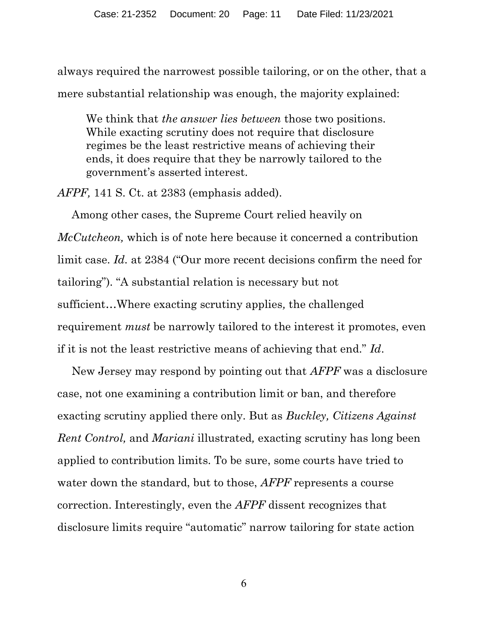always required the narrowest possible tailoring, or on the other, that a mere substantial relationship was enough, the majority explained:

We think that *the answer lies between* those two positions. While exacting scrutiny does not require that disclosure regimes be the least restrictive means of achieving their ends, it does require that they be narrowly tailored to the government's asserted interest.

AFPF, 141 S. Ct. at 2383 (emphasis added).

Among other cases, the Supreme Court relied heavily on McCutcheon, which is of note here because it concerned a contribution limit case. Id. at 2384 ("Our more recent decisions confirm the need for tailoring"). "A substantial relation is necessary but not sufficient…Where exacting scrutiny applies, the challenged requirement must be narrowly tailored to the interest it promotes, even if it is not the least restrictive means of achieving that end." Id.

New Jersey may respond by pointing out that AFPF was a disclosure case, not one examining a contribution limit or ban, and therefore exacting scrutiny applied there only. But as Buckley, Citizens Against Rent Control, and Mariani illustrated, exacting scrutiny has long been applied to contribution limits. To be sure, some courts have tried to water down the standard, but to those, *AFPF* represents a course correction. Interestingly, even the AFPF dissent recognizes that disclosure limits require "automatic" narrow tailoring for state action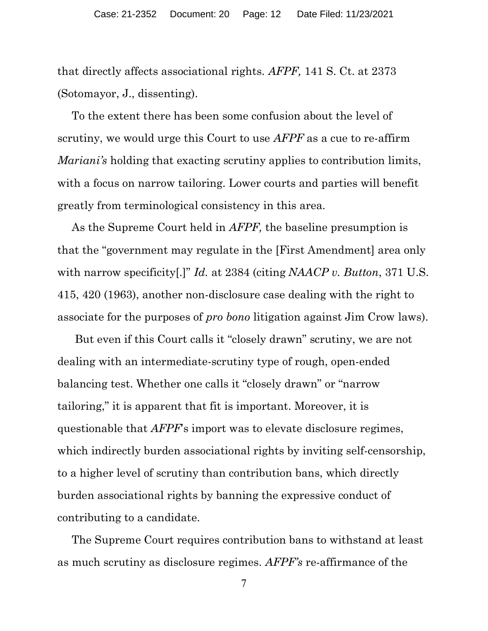that directly affects associational rights. AFPF, 141 S. Ct. at 2373 (Sotomayor, J., dissenting).

To the extent there has been some confusion about the level of scrutiny, we would urge this Court to use *AFPF* as a cue to re-affirm *Mariani's* holding that exacting scrutiny applies to contribution limits, with a focus on narrow tailoring. Lower courts and parties will benefit greatly from terminological consistency in this area.

As the Supreme Court held in *AFPF*, the baseline presumption is that the "government may regulate in the [First Amendment] area only with narrow specificity.]" Id. at 2384 (citing NAACP v. Button, 371 U.S. 415, 420 (1963), another non-disclosure case dealing with the right to associate for the purposes of pro bono litigation against Jim Crow laws).

 But even if this Court calls it "closely drawn" scrutiny, we are not dealing with an intermediate-scrutiny type of rough, open-ended balancing test. Whether one calls it "closely drawn" or "narrow tailoring," it is apparent that fit is important. Moreover, it is questionable that AFPF's import was to elevate disclosure regimes, which indirectly burden associational rights by inviting self-censorship, to a higher level of scrutiny than contribution bans, which directly burden associational rights by banning the expressive conduct of contributing to a candidate.

The Supreme Court requires contribution bans to withstand at least as much scrutiny as disclosure regimes. AFPF's re-affirmance of the

7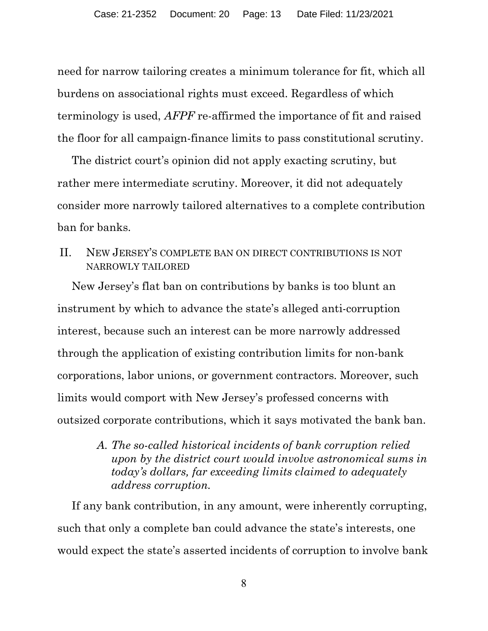need for narrow tailoring creates a minimum tolerance for fit, which all burdens on associational rights must exceed. Regardless of which terminology is used, AFPF re-affirmed the importance of fit and raised the floor for all campaign-finance limits to pass constitutional scrutiny.

The district court's opinion did not apply exacting scrutiny, but rather mere intermediate scrutiny. Moreover, it did not adequately consider more narrowly tailored alternatives to a complete contribution ban for banks.

II. NEW JERSEY'S COMPLETE BAN ON DIRECT CONTRIBUTIONS IS NOT NARROWLY TAILORED

New Jersey's flat ban on contributions by banks is too blunt an instrument by which to advance the state's alleged anti-corruption interest, because such an interest can be more narrowly addressed through the application of existing contribution limits for non-bank corporations, labor unions, or government contractors. Moreover, such limits would comport with New Jersey's professed concerns with outsized corporate contributions, which it says motivated the bank ban.

> A. The so-called historical incidents of bank corruption relied upon by the district court would involve astronomical sums in today's dollars, far exceeding limits claimed to adequately address corruption.

If any bank contribution, in any amount, were inherently corrupting, such that only a complete ban could advance the state's interests, one would expect the state's asserted incidents of corruption to involve bank

8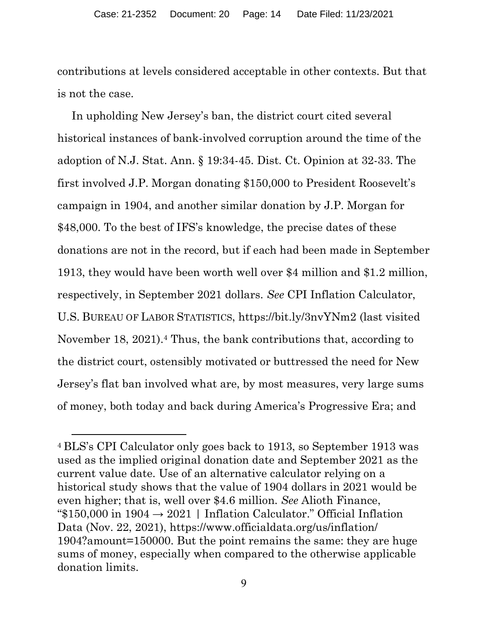contributions at levels considered acceptable in other contexts. But that is not the case.

In upholding New Jersey's ban, the district court cited several historical instances of bank-involved corruption around the time of the adoption of N.J. Stat. Ann. § 19:34-45. Dist. Ct. Opinion at 32-33. The first involved J.P. Morgan donating \$150,000 to President Roosevelt's campaign in 1904, and another similar donation by J.P. Morgan for \$48,000. To the best of IFS's knowledge, the precise dates of these donations are not in the record, but if each had been made in September 1913, they would have been worth well over \$4 million and \$1.2 million, respectively, in September 2021 dollars. See CPI Inflation Calculator, U.S. BUREAU OF LABOR STATISTICS, https://bit.ly/3nvYNm2 (last visited November 18, 2021).<sup>4</sup> Thus, the bank contributions that, according to the district court, ostensibly motivated or buttressed the need for New Jersey's flat ban involved what are, by most measures, very large sums of money, both today and back during America's Progressive Era; and

<sup>4</sup> BLS's CPI Calculator only goes back to 1913, so September 1913 was used as the implied original donation date and September 2021 as the current value date. Use of an alternative calculator relying on a historical study shows that the value of 1904 dollars in 2021 would be even higher; that is, well over \$4.6 million. See Alioth Finance,  $\text{\textdegree$}150,000$  in  $1904 \rightarrow 2021$  | Inflation Calculator." Official Inflation Data (Nov. 22, 2021), https://www.officialdata.org/us/inflation/ 1904?amount=150000. But the point remains the same: they are huge sums of money, especially when compared to the otherwise applicable donation limits.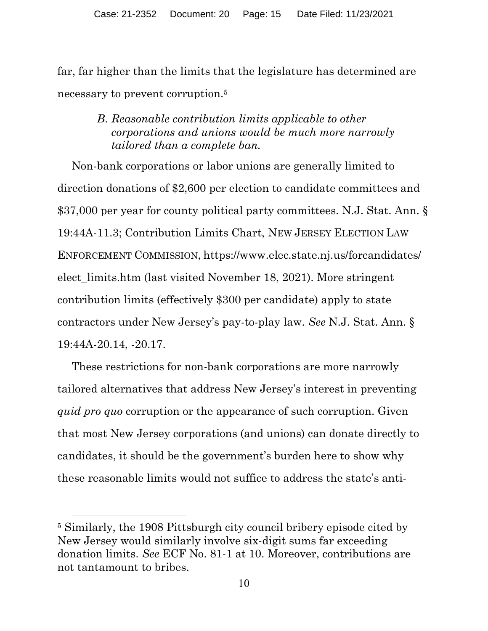far, far higher than the limits that the legislature has determined are necessary to prevent corruption.<sup>5</sup>

# B. Reasonable contribution limits applicable to other corporations and unions would be much more narrowly tailored than a complete ban.

Non-bank corporations or labor unions are generally limited to direction donations of \$2,600 per election to candidate committees and \$37,000 per year for county political party committees. N.J. Stat. Ann. § 19:44A-11.3; Contribution Limits Chart, NEW JERSEY ELECTION LAW ENFORCEMENT COMMISSION, https://www.elec.state.nj.us/forcandidates/ elect\_limits.htm (last visited November 18, 2021). More stringent contribution limits (effectively \$300 per candidate) apply to state contractors under New Jersey's pay-to-play law. See N.J. Stat. Ann. § 19:44A-20.14, -20.17.

These restrictions for non-bank corporations are more narrowly tailored alternatives that address New Jersey's interest in preventing quid pro quo corruption or the appearance of such corruption. Given that most New Jersey corporations (and unions) can donate directly to candidates, it should be the government's burden here to show why these reasonable limits would not suffice to address the state's anti-

<sup>5</sup> Similarly, the 1908 Pittsburgh city council bribery episode cited by New Jersey would similarly involve six-digit sums far exceeding donation limits. See ECF No. 81-1 at 10. Moreover, contributions are not tantamount to bribes.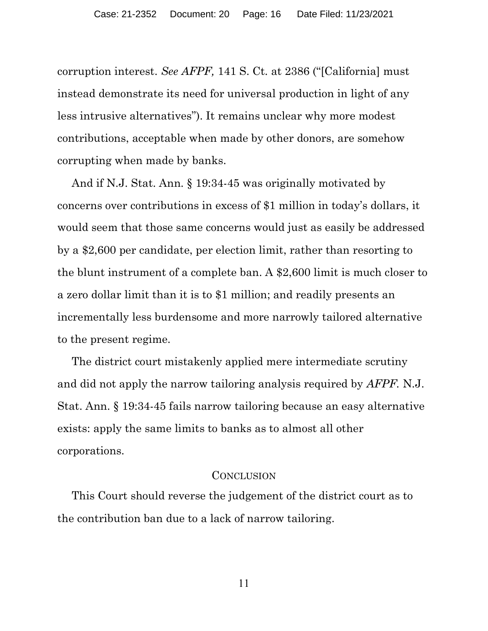corruption interest. See AFPF, 141 S. Ct. at 2386 ("[California] must instead demonstrate its need for universal production in light of any less intrusive alternatives"). It remains unclear why more modest contributions, acceptable when made by other donors, are somehow corrupting when made by banks.

And if N.J. Stat. Ann. § 19:34-45 was originally motivated by concerns over contributions in excess of \$1 million in today's dollars, it would seem that those same concerns would just as easily be addressed by a \$2,600 per candidate, per election limit, rather than resorting to the blunt instrument of a complete ban. A \$2,600 limit is much closer to a zero dollar limit than it is to \$1 million; and readily presents an incrementally less burdensome and more narrowly tailored alternative to the present regime.

The district court mistakenly applied mere intermediate scrutiny and did not apply the narrow tailoring analysis required by AFPF. N.J. Stat. Ann. § 19:34-45 fails narrow tailoring because an easy alternative exists: apply the same limits to banks as to almost all other corporations.

#### **CONCLUSION**

This Court should reverse the judgement of the district court as to the contribution ban due to a lack of narrow tailoring.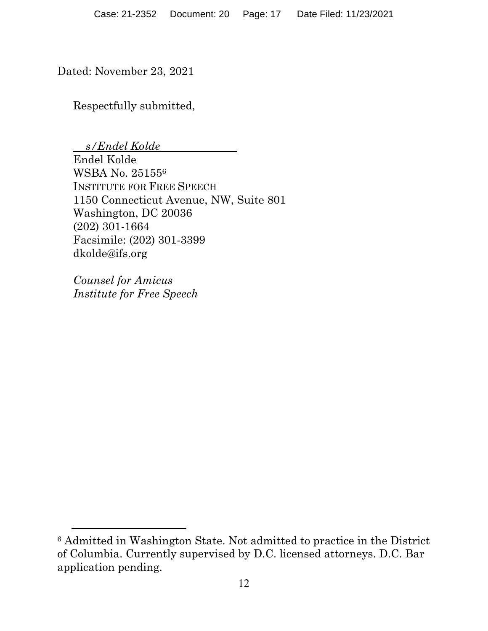Dated: November 23, 2021

Respectfully submitted,

 s/Endel Kolde Endel Kolde WSBA No. 25155<sup>6</sup> INSTITUTE FOR FREE SPEECH 1150 Connecticut Avenue, NW, Suite 801 Washington, DC 20036 (202) 301-1664 Facsimile: (202) 301-3399 dkolde@ifs.org

Counsel for Amicus Institute for Free Speech

<sup>6</sup> Admitted in Washington State. Not admitted to practice in the District of Columbia. Currently supervised by D.C. licensed attorneys. D.C. Bar application pending.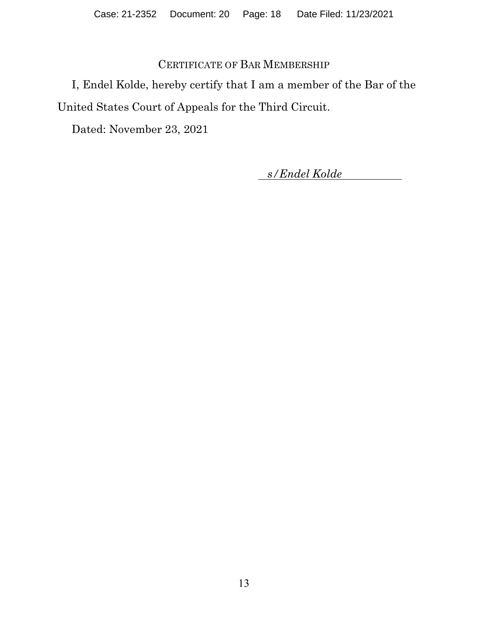# CERTIFICATE OF BAR MEMBERSHIP

I, Endel Kolde, hereby certify that I am a member of the Bar of the United States Court of Appeals for the Third Circuit.

Dated: November 23, 2021

s/Endel Kolde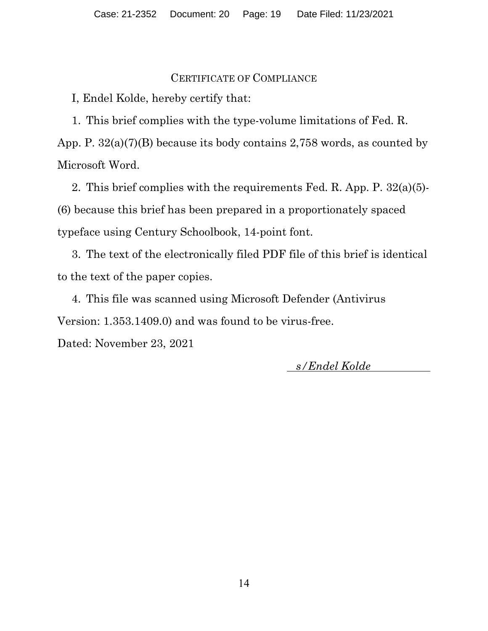#### CERTIFICATE OF COMPLIANCE

I, Endel Kolde, hereby certify that:

1. This brief complies with the type-volume limitations of Fed. R. App. P. 32(a)(7)(B) because its body contains 2,758 words, as counted by Microsoft Word.

2. This brief complies with the requirements Fed. R. App. P. 32(a)(5)- (6) because this brief has been prepared in a proportionately spaced typeface using Century Schoolbook, 14-point font.

3. The text of the electronically filed PDF file of this brief is identical to the text of the paper copies.

4. This file was scanned using Microsoft Defender (Antivirus Version: 1.353.1409.0) and was found to be virus-free.

Dated: November 23, 2021

s/Endel Kolde